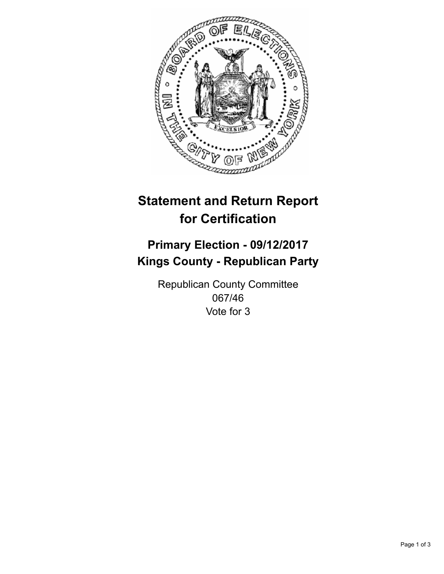

## **Statement and Return Report for Certification**

## **Primary Election - 09/12/2017 Kings County - Republican Party**

Republican County Committee 067/46 Vote for 3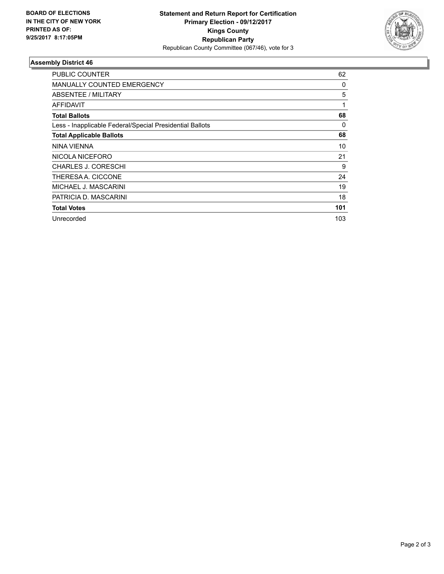

## **Assembly District 46**

| <b>PUBLIC COUNTER</b>                                    | 62  |
|----------------------------------------------------------|-----|
| MANUALLY COUNTED EMERGENCY                               | 0   |
| ABSENTEE / MILITARY                                      | 5   |
| AFFIDAVIT                                                | 1   |
| <b>Total Ballots</b>                                     | 68  |
| Less - Inapplicable Federal/Special Presidential Ballots | 0   |
| <b>Total Applicable Ballots</b>                          | 68  |
| NINA VIENNA                                              | 10  |
| NICOLA NICEFORO                                          | 21  |
| <b>CHARLES J. CORESCHI</b>                               | 9   |
| THERESA A. CICCONE                                       | 24  |
| MICHAEL J. MASCARINI                                     | 19  |
| PATRICIA D. MASCARINI                                    | 18  |
| <b>Total Votes</b>                                       | 101 |
| Unrecorded                                               | 103 |